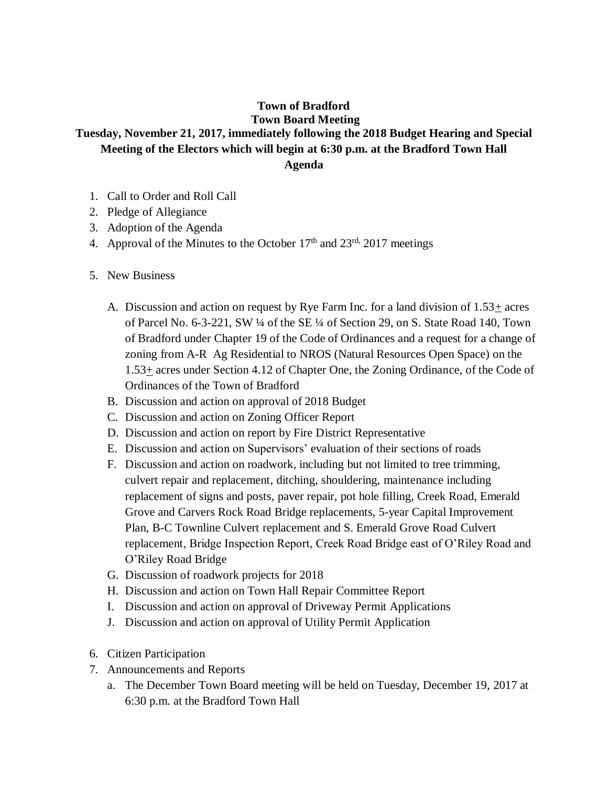## **Town of Bradford Town Board Meeting Tuesday, November 21, 2017, immediately following the 2018 Budget Hearing and Special Meeting of the Electors which will begin at 6:30 p.m. at the Bradford Town Hall Agenda**

- 1. Call to Order and Roll Call
- 2. Pledge of Allegiance
- 3. Adoption of the Agenda
- 4. Approval of the Minutes to the October  $17<sup>th</sup>$  and  $23<sup>rd</sup>$ ,  $2017$  meetings
- 5. New Business
	- A. Discussion and action on request by Rye Farm Inc. for a land division of 1.53+ acres of Parcel No. 6-3-221, SW ¼ of the SE ¼ of Section 29, on S. State Road 140, Town of Bradford under Chapter 19 of the Code of Ordinances and a request for a change of zoning from A-R Ag Residential to NROS (Natural Resources Open Space) on the 1.53+ acres under Section 4.12 of Chapter One, the Zoning Ordinance, of the Code of Ordinances of the Town of Bradford
	- B. Discussion and action on approval of 2018 Budget
	- C. Discussion and action on Zoning Officer Report
	- D. Discussion and action on report by Fire District Representative
	- E. Discussion and action on Supervisors' evaluation of their sections of roads
	- F. Discussion and action on roadwork, including but not limited to tree trimming, culvert repair and replacement, ditching, shouldering, maintenance including replacement of signs and posts, paver repair, pot hole filling, Creek Road, Emerald Grove and Carvers Rock Road Bridge replacements, 5-year Capital Improvement Plan, B-C Townline Culvert replacement and S. Emerald Grove Road Culvert replacement, Bridge Inspection Report, Creek Road Bridge east of O'Riley Road and O'Riley Road Bridge
	- G. Discussion of roadwork projects for 2018
	- H. Discussion and action on Town Hall Repair Committee Report
	- I. Discussion and action on approval of Driveway Permit Applications
	- J. Discussion and action on approval of Utility Permit Application
- 6. Citizen Participation
- 7. Announcements and Reports
	- a. The December Town Board meeting will be held on Tuesday, December 19, 2017 at 6:30 p.m. at the Bradford Town Hall